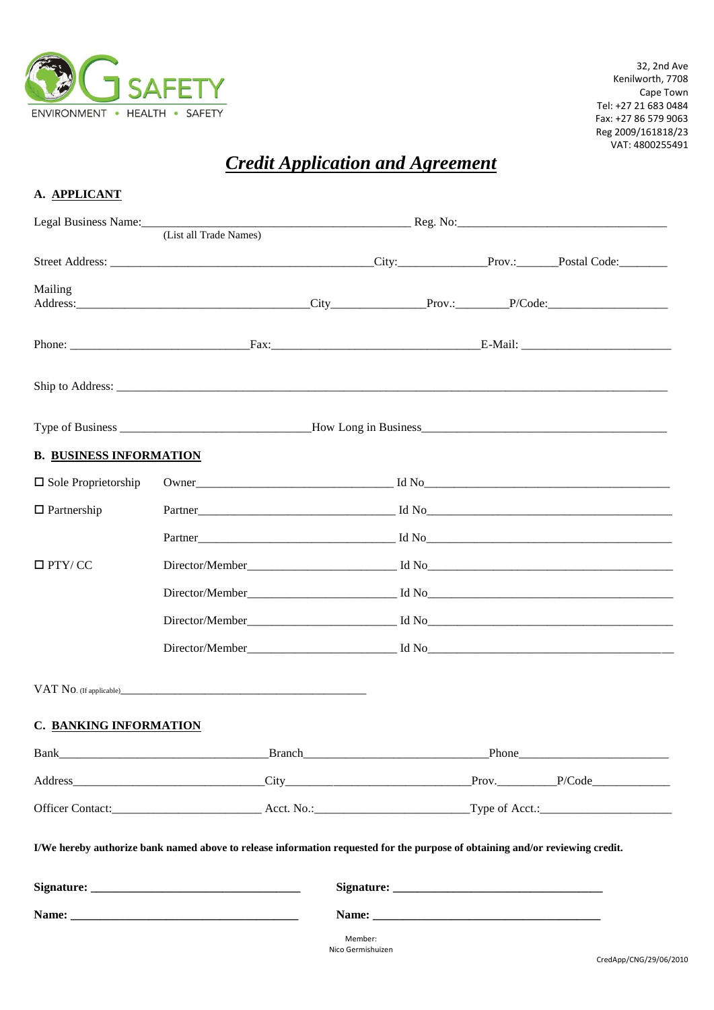

32, 2nd Ave Kenilworth, 7708 Cape Town Tel: +27 21 683 0484 Fax: +27 86 579 9063 Reg 2009/161818/23 VAT: 4800255491

## *Credit Application and Agreement*

| A. APPLICANT                   |                                                                                                                                                                                                                                |         |                                                                                                                |  |       |  |
|--------------------------------|--------------------------------------------------------------------------------------------------------------------------------------------------------------------------------------------------------------------------------|---------|----------------------------------------------------------------------------------------------------------------|--|-------|--|
|                                | (List all Trade Names)                                                                                                                                                                                                         |         | Legal Business Name: 1990 Manner 2008 (2008) Reg. No: 2008 (2008) Reg. No: 2008 Manner 2008 (2008) Manner 2008 |  |       |  |
|                                |                                                                                                                                                                                                                                |         |                                                                                                                |  |       |  |
| Mailing                        |                                                                                                                                                                                                                                |         |                                                                                                                |  |       |  |
|                                |                                                                                                                                                                                                                                |         |                                                                                                                |  |       |  |
|                                |                                                                                                                                                                                                                                |         |                                                                                                                |  |       |  |
|                                |                                                                                                                                                                                                                                |         |                                                                                                                |  |       |  |
| <b>B. BUSINESS INFORMATION</b> |                                                                                                                                                                                                                                |         |                                                                                                                |  |       |  |
| $\Box$ Sole Proprietorship     |                                                                                                                                                                                                                                |         |                                                                                                                |  |       |  |
| $\Box$ Partnership             |                                                                                                                                                                                                                                |         |                                                                                                                |  |       |  |
|                                |                                                                                                                                                                                                                                |         |                                                                                                                |  |       |  |
| $\Box$ PTY/CC                  |                                                                                                                                                                                                                                |         |                                                                                                                |  |       |  |
|                                |                                                                                                                                                                                                                                |         |                                                                                                                |  |       |  |
|                                |                                                                                                                                                                                                                                |         |                                                                                                                |  |       |  |
|                                |                                                                                                                                                                                                                                |         |                                                                                                                |  |       |  |
|                                |                                                                                                                                                                                                                                |         |                                                                                                                |  |       |  |
| <b>C. BANKING INFORMATION</b>  |                                                                                                                                                                                                                                |         |                                                                                                                |  |       |  |
|                                | Bank Branch Branch and the Branch Branch and the Branch and the Branch and the Branch and the Branch and the Branch and the Branch and the Branch and the Branch and the Branch and the Branch and the Branch and the Branch a |         |                                                                                                                |  | Phone |  |
|                                |                                                                                                                                                                                                                                |         |                                                                                                                |  |       |  |
|                                |                                                                                                                                                                                                                                |         |                                                                                                                |  |       |  |
|                                | I/We hereby authorize bank named above to release information requested for the purpose of obtaining and/or reviewing credit.                                                                                                  |         |                                                                                                                |  |       |  |
|                                |                                                                                                                                                                                                                                |         |                                                                                                                |  |       |  |
|                                |                                                                                                                                                                                                                                |         |                                                                                                                |  |       |  |
|                                |                                                                                                                                                                                                                                | Member: |                                                                                                                |  |       |  |

Nico Germishuizen